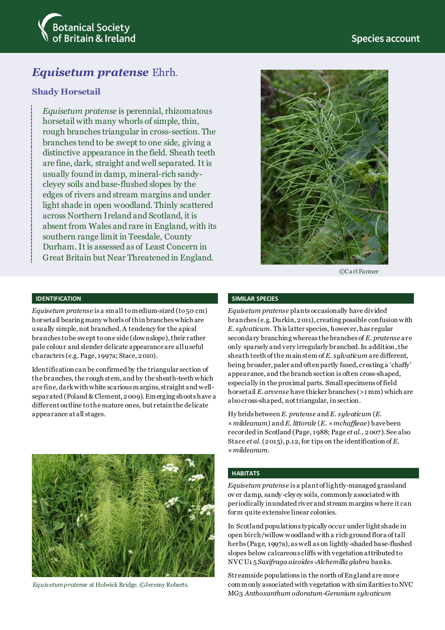

# *Equisetum pratense* Ehrh.

### **Shady Horsetail**

*Equisetum pratense* is perennial, rhizomatous horsetail with many whorls of simple, thin, rough branches triangular in cross-section. The branches tend to be swept to one side, giving a distinctive appearance in the field. Sheath teeth are fine, dark, straight and well separated. It is usually found in damp, mineral-rich sandycleyey soils and base-flushed slopes by the edges of rivers and stream margins and under light shade in open woodland. Thinly scattered across Northern Ireland and Scotland, it is absent from Wales and rare in England, with its southern range limit in Teesdale, County Durham. It is assessed as of Least Concern in Great Britain but Near Threatened in England.



©Ca rl Farmer

#### **IDENTIFICATION**

*Equisetum pratense* is a small to medium-sized (to 50 cm) horsetail bearing many whorls of thin branches which are usually simple, not branched. A tendency for the apical branches to be swept to one side (downslope), their rather pale colour and slender delicate appearance are all useful characters (e.g. Page, 1997a; Stace, 2010).

Identification can be confirmed by the triangular section of the branches, the rough stem, and by the sheath-teeth which are fine, darkwith white scarious margins, straight and wellseparated (Poland & Clement, 2009). Emerging shoots have a different outline to the mature ones, but retain the delicate appearance at all stages.



*Equisetum pratense* at Holwick Bridge. ©Jeremy Roberts.

#### **SIMILAR SPECIES**

*Equisetum pratense* plants occasionally have divided branches (e.g. Durkin, 2011), creating possible confusion with *E. sylvaticum*. This latter species, however, has regular secondary branching whereas the branches of *E. pratense* are only sparsely and very irregularly branched. In addition,the sheath teeth of the main stem of *E. sylvaticum* are different, being broader, paler and often partly fused, creating a 'chaffy' appearance, and the branch section is often cross-shaped, especially in the proximal parts. Small specimens of field horsetail *E. arvense* have thicker branches (>1 mm) which are also cross-shaped, not triangular, in section.

Hy brids between *E. pratense* and *E. sylvaticum* (*E.*  ×*mildeanum*) and *E. littorale* (*E*. ×*mchaffieae*) have been recorded in Scotland (Page, 1988; Page *et al*., 2007). See also Stace *et al*. (2015), p.12, for tips on the identification of *E.*  ×*mildeanum*.

#### **HABITATS**

*Equisetum pratense* is a plant of lightly-managed grassland ov er damp, sandy-cleyey soils, commonly associated with periodically inundated river and stream margins where it can form quite extensive linear colonies.

In Scotland populations typically occur under light shade in open birch/willow woodland with a rich ground flora of tall herbs (Page, 1997a), as well as on lightly-shaded base-flushed slopes below calcareous cliffs with vegetation attributed to NVC U1 5 *Saxifraga aizoides*-*Alchemilla glabra* banks.

Streamside populations in the north of England are more commonly associated with vegetation with similarities to NVC MG3 *Anthoxanthum odoratum*-*Geranium sylvaticum*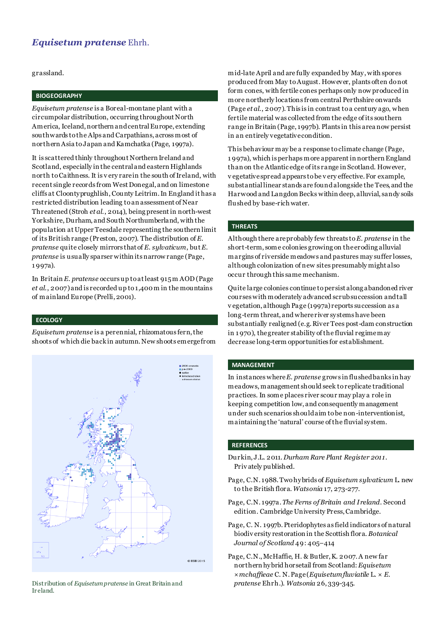## *Equisetum pratense* Ehrh.

grassland.

#### **BIOGEOGRAPHY**

*Equisetum pratense* is a Boreal-montane plant with a circumpolar distribution, occurring throughout North America, Iceland, northern and central Europe, extending southwards to the Alps and Carpathians, across most of northern Asia to Japan and Kamchatka (Page, 1997a).

It is scattered thinly throughout Northern Ireland and Scotland, especially in the central and eastern Highlands north to Caithness. It is v ery rare in the south of Ireland, with recent single records from West Donegal, and on limestone cliffs at Cloontyprughlish, County Leitrim. In England it has a restricted distribution leading to an assessment of Near Threatened (Stroh *et al*., 2014), being present in north-west Yorkshire, Durham, and South Northumberland, with the population at Upper Teesdale representing the southern limit of its British range (Preston, 2007). The distribution of *E. pratense* quite closely mirrors that of *E. sylvaticum*, but *E. pratense* is usually sparser within its narrow range (Page, 1 997a).

In Britain *E. pratense* occurs up to at least 915 m AOD (Page *et al*., 2007)and is recorded up to 1,400 m in the mountains of mainland Europe (Prelli, 2001).

#### **ECOLOGY**

*Equisetum pratense* is a perennial, rhizomatous fern, the shoots of which die back in autumn. New shoots emerge from



Distribution of *Equisetum pratense* in Great Britain and *pratense* Ehrh.). *Watsonia* 26, 339-345. Ir eland.

mid-late April and are fully expanded by May, with spores produced from May to August. However, plants often do not form cones, with fertile cones perhaps only now produced in more northerly locations from central Perthshire onwards (Page *et al*., 2007). This is in contrast to a century ago, when fertile material was collected from the edge of its southern range in Britain (Page, 1997b). Plants in this area now persist in an entirely vegetative condition.

This behaviour may be a response to climate change (Page, 1 997a), which is perhaps more apparent in northern England than on the Atlantic edge of its range in Scotland. However, v egetative spread appears to be v ery effective. For example, substantial linear stands are found alongside the Tees, and the Harwood and Langdon Becks within deep, alluvial, sandy soils flushed by base-rich water.

#### **THREATS**

Although there are probably few threats to *E. pratense* in the short-term, some colonies growing on the eroding alluvial margins of riverside meadows and pastures may suffer losses, although colonization of new sites presumably might also occur through this same mechanism.

Quite large colonies continue to persist along abandoned river courses with moderately advanced scrub succession and tall v egetation, although Page (1997a) reports succession as a long-term threat, and where river systems have been substantially realigned (e.g. River Tees post-dam construction in 1 970), the greater stability of the fluvial regime may decrease long-term opportunities for establishment.

#### **MANAGEMENT**

In instances where *E. pratense* grows in flushed banks in hay meadows, management should seek to replicate traditional practices. In some places river scour may play a role in keeping competition low, and consequently management under such scenarios should aim to be non-interventionist, maintaining the 'natural' course of the fluvial system.

#### **REFERENCES**

- Durkin, J.L. 2011. *Durham Rare Plant Register 2011.*  Priv ately published.
- Page, C.N. 1988. Two hybrids of *Equisetum sylvaticum* L. new to the British flora. *Watsonia* 17, 273-277.
- Page, C.N. 1997a. *The Ferns of Britain and Ireland*. Second edition. Cambridge University Press, Cambridge.
- Page, C. N. 1997b. Pteridophytes as field indicators of natural biodiv ersity restoration in the Scottish flora. *Botanical Journal of Scotland* 49: 405–414
- Page, C.N., McHaffie, H. & Butler, K. 2007. A new far northern hybrid horsetail from Scotland: *Equisetum ×mchaffieae* C. N. Page (*Equisetum fluviatile* L. × *E.*